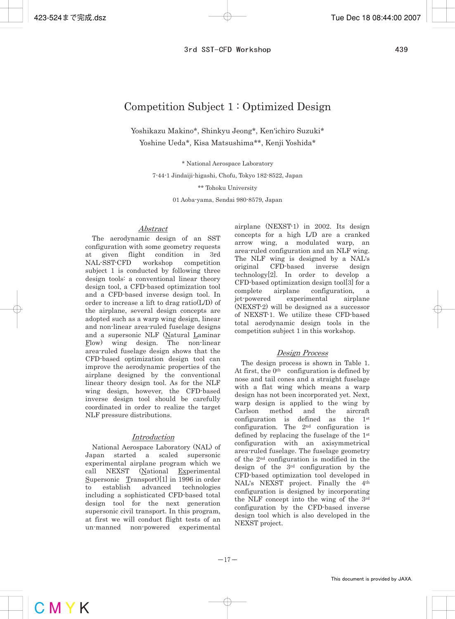# Competition Subject 1 : Optimized Design

Yoshikazu Makino\*, Shinkyu Jeong\*, Ken'ichiro Suzuki\* Yoshine Ueda\*, Kisa Matsushima\*\*, Kenji Yoshida\*

\* National Aerospace Laboratory

7-44-1 Jindaiji-higashi, Chofu, Tokyo 182-8522, Japan

\*\* Tohoku University

01 Aoba-yama, Sendai 980-8579, Japan

# Abstract

The aerodynamic design of an SST configuration with some geometry requests at given flight condition in 3rd NAL-SST-CFD workshop competition subject 1 is conducted by following three design tools: a conventional linear theory design tool, a CFD-based optimization tool and a CFD-based inverse design tool. In order to increase a lift to drag ratio(L/D) of the airplane, several design concepts are adopted such as a warp wing design, linear and non-linear area-ruled fuselage designs and a supersonic NLF (Natural Laminar Flow) wing design. The non-linear area-ruled fuselage design shows that the CFD-based optimization design tool can improve the aerodynamic properties of the airplane designed by the conventional linear theory design tool. As for the NLF wing design, however, the CFD-based inverse design tool should be carefully coordinated in order to realize the target NLF pressure distributions.

# Introduction

National Aerospace Laboratory (NAL) of Japan started a scaled supersonic experimental airplane program which we call NEXST (National Experimental Supersonic Transport)[1] in 1996 in order to establish advanced technologies including a sophisticated CFD-based total design tool for the next generation supersonic civil transport. In this program, at first we will conduct flight tests of an un-manned non-powered experimental airplane (NEXST-1) in 2002. Its design concepts for a high L/D are a cranked arrow wing, a modulated warp, an area-ruled configuration and an NLF wing. The NLF wing is designed by a NAL's original CFD-based inverse design technology[2]. In order to develop a CFD-based optimization design tool[3] for a complete airplane configuration, a jet-powered experimental airplane (NEXST-2) will be designed as a successor of NEXST-1. We utilize these CFD-based total aerodynamic design tools in the competition subject 1 in this workshop.

# Design Process

The design process is shown in Table 1. At first, the  $0<sup>th</sup>$  configuration is defined by nose and tail cones and a straight fuselage with a flat wing which means a warp design has not been incorporated yet. Next, warp design is applied to the wing by Carlson method and the aircraft configuration is defined as the 1st configuration. The 2nd configuration is defined by replacing the fuselage of the 1st configuration with an axisymmetrical area-ruled fuselage. The fuselage geometry of the 2nd configuration is modified in the design of the 3rd configuration by the CFD-based optimization tool developed in NAL's NEXST project. Finally the 4th configuration is designed by incorporating the NLF concept into the wing of the 3rd configuration by the CFD-based inverse design tool which is also developed in the NEXST project.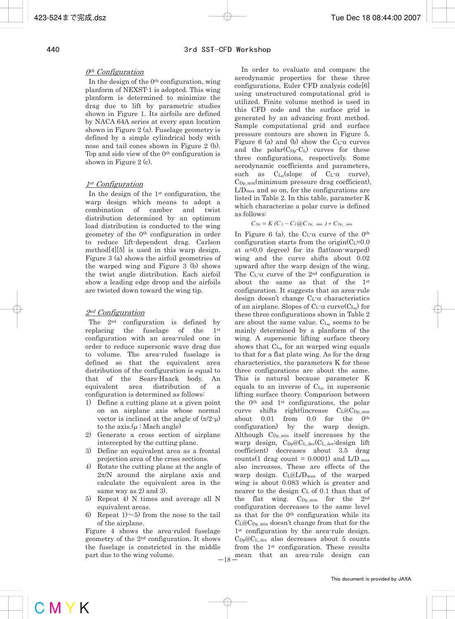#### 0th Configuration

In the design of the  $0<sup>th</sup>$  configuration, wing planform of NEXST-1 is adopted. This wing planform is determined to minimize the drag due to lift by parametric studies shown in Figure 1. Its airfoils are defined by NACA 64A series at every span location shown in Figure 2 (a). Fuselage geometry is defined by a simple cylindrical body with nose and tail cones shown in Figure 2 (b). Top and side view of the  $0<sup>th</sup>$  configuration is shown in Figure 2 (c).

### 1<sup>st</sup> Configuration

 In the design of the 1st configuration, the warp design which means to adopt a combination of camber and twist distribution determined by an optimum load distribution is conducted to the wing geometry of the 0th configuration in order to reduce lift-dependent drag. Carlson method[4][5] is used in this warp design. Figure 3 (a) shows the airfoil geometries of the warped wing and Figure 3 (b) shows the twist angle distribution. Each airfoil show a leading edge droop and the airfoils are twisted down toward the wing tip.

### 2nd Configuration

 The 2nd configuration is defined by replacing the fuselage of the 1st configuration with an area-ruled one in order to reduce supersonic wave drag due to volume. The area-ruled fuselage is defined so that the equivalent area distribution of the configuration is equal to that of the Sears-Haack body. An equivalent area distribution of a configuration is determined as follows:

- 1) Define a cutting plane at a given point on an airplane axis whose normal vector is inclined at the angle of  $(\pi/2-\mu)$ to the  $axis.(\mu : Mach angle)$
- 2) Generate a cross section of airplane intercepted by the cutting plane.
- 3) Define an equivalent area as a frontal projection area of the cross sections.
- 4) Rotate the cutting plane at the angle of  $2\pi/N$  around the airplane axis and calculate the equivalent area in the same way as 2) and 3).
- 5) Repeat 4) N times and average all N equivalent areas.
- 6) Repeat  $1$   $\sim$  5) from the nose to the tail of the airplane.

Figure 4 shows the area-ruled fuselage geometry of the 2nd configuration. It shows the fuselage is constricted in the middle part due to the wing volume.  $-18$ 

 In order to evaluate and compare the aerodynamic properties for these three configurations, Euler CFD analysis code[6] using unstructured computational grid is utilized. Finite volume method is used in this CFD code and the surface grid is generated by an advancing front method. Sample computational grid and surface pressure contours are shown in Figure 5. Figure 6 (a) and (b) show the  $C_{L}$ - $\alpha$  curves and the polar $(C_{Dp} - C_{L})$  curves for these three configurations, respectively. Some aerodynamic coefficients and parameters, such as  $C_{L_\alpha}(slope \tof \tC_{L^{\alpha}}\tcurve),$  $\mathrm{C}_{\mathrm{Dp\_min}}(\mathrm{minimum} \text{ pressure } \mathrm{drag} \text{ coefficient}).$ L/Dmax and so on, for the configurations are listed in Table 2. In this table, parameter K which characterize a polar curve is defined as follows:

$$
C_{Dp} = K(C_L - C_L@C_{Dp_{\perp} \min}) + C_{Dp_{\perp} \min}
$$

In Figure 6 (a), the  $C_{L}$ - $\alpha$  curve of the 0<sup>th</sup> configuration starts from the origin( $C_{L}=0.0$ at  $\alpha=0.0$  degree) for its flat(non-warped) wing and the curve shifts about 0.02 upward after the warp design of the wing. The  $C_{L}$ - $\alpha$  curve of the 2<sup>nd</sup> configuration is about the same as that of the 1st configuration. It suggests that an area-rule design doesn't change  $C_{L}$ - $\alpha$  characteristics of an airplane. Slopes of  $C_{L} \alpha$  curve( $C_{L_{\alpha}}$ ) for these three configurations shown in Table 2 are about the same value.  $C_{L_{\alpha}}$  seems to be mainly determined by a planform of the wing. A supersonic lifting surface theory shows that  $C_{L_q}$  for an warped wing equals to that for a flat plate wing. As for the drag characteristics, the parameters K for these three configurations are about the same. This is natural because parameter K equals to an inverse of  $C_{L_{\alpha}}$  in supersonic lifting surface theory. Comparison between the 0th and 1st configurations, the polar curve shifts right(increase  $C_{L}@C_{Dp,min}$ about 0.01 from 0.0 for the 0th configuration) by the warp design. Although  $C_{Dp\_min}$  itself increases by the warp design,  $C_{\text{Dp}}@C_{\text{L}_\text{des}}(C_{\text{L}_\text{des}}$ design lift coefficient) decreases about 3.5 drag counts(1 drag count = 0.0001) and  $L/D_{max}$ also increases. These are effects of the warp design. CL@L/Dmax of the warped wing is about 0.083 which is greater and nearer to the design C<sub>L</sub> of 0.1 than that of the flat wing.  $C_{Dp\_min}$  for the  $2^{nd}$ configuration decreases to the same level as that for the 0th configuration while its  $C_{L}@C_{\text{Dp-min}}$  doesn't change from that for the 1<sup>st</sup> configuration by the area-rule design.  $C_{\text{Dp}}@C_{\text{L-des}}$  also decreases about 5 counts from the 1st configuration. These results mean that an area-rule design can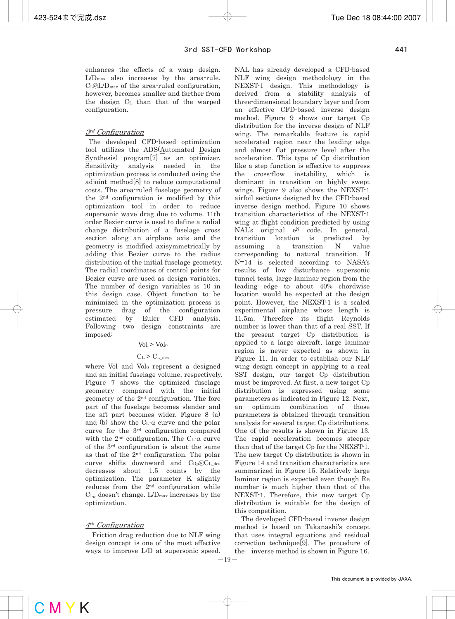enhances the effects of a warp design. L/Dmax also increases by the area-rule.  $C_{\text{L}}@L/D_{\text{max}}$  of the area-ruled configuration, however, becomes smaller and farther from the design CL than that of the warped configuration.

## 3rd Configuration

 The developed CFD-based optimization tool utilizes the ADS(Automated Design Synthesis) program[7] as an optimizer. Sensitivity analysis needed in the optimization process is conducted using the adjoint method[8] to reduce computational costs. The area-ruled fuselage geometry of the 2nd configuration is modified by this optimization tool in order to reduce supersonic wave drag due to volume. 11th order Bezier curve is used to define a radial change distribution of a fuselage cross section along an airplane axis and the geometry is modified axisymmetrically by adding this Bezier curve to the radius distribution of the initial fuselage geometry. The radial coordinates of control points for Bezier curve are used as design variables. The number of design variables is 10 in this design case. Object function to be minimized in the optimization process is pressure drag of the configuration estimated by Euler CFD analysis. Following two design constraints are imposed:

## $Vol > Vol<sub>0</sub>$

## $C_{L}$  >  $C_{L$ <sub>des</sub>

where Vol and Vol<sub>0</sub> represent a designed and an initial fuselage volume, respectively. Figure 7 shows the optimized fuselage geometry compared with the initial geometry of the 2nd configuration. The fore part of the fuselage becomes slender and the aft part becomes wider. Figure 8 (a) and (b) show the  $C_L$ - $\alpha$  curve and the polar curve for the 3rd configuration compared with the  $2<sup>nd</sup>$  configuration. The  $C<sub>L</sub>$ - $\alpha$  curve of the 3rd configuration is about the same as that of the 2nd configuration. The polar curve shifts downward and  $C_{\text{Dp}}@C_{\text{L}_\text{des}}$ decreases about 1.5 counts by the optimization. The parameter K slightly reduces from the 2nd configuration while  $C_{L_{\alpha}}$  doesn't change. L/D<sub>max</sub> increases by the optimization.

# 4th Configuration

 Friction drag reduction due to NLF wing design concept is one of the most effective ways to improve L/D at supersonic speed.

NAL has already developed a CFD-based NLF wing design methodology in the NEXST-1 design. This methodology is derived from a stability analysis of three-dimensional boundary layer and from an effective CFD-based inverse design method. Figure 9 shows our target Cp distribution for the inverse design of NLF wing. The remarkable feature is rapid accelerated region near the leading edge and almost flat pressure level after the acceleration. This type of Cp distribution like a step function is effective to suppress the cross-flow instability, which is dominant in transition on highly swept wings. Figure 9 also shows the NEXST-1 airfoil sections designed by the CFD-based inverse design method. Figure 10 shows transition characteristics of the NEXST-1 wing at flight condition predicted by using  $NAL's$  original  $e^N$  code. In general, transition location is predicted by assuming a transition N value corresponding to natural transition. If N=14 is selected according to NASA's results of low disturbance supersonic tunnel tests, large laminar region from the leading edge to about 40% chordwise location would be expected at the design point. However, the NEXST-1 is a scaled experimental airplane whose length is 11.5m. Therefore its flight Reynolds number is lower than that of a real SST. If the present target Cp distribution is applied to a large aircraft, large laminar region is never expected as shown in Figure 11. In order to establish our NLF wing design concept in applying to a real SST design, our target Cp distribution must be improved. At first, a new target Cp distribution is expressed using some parameters as indicated in Figure 12. Next, an optimum combination of those parameters is obtained through transition analysis for several target Cp distributions. One of the results is shown in Figure 13. The rapid acceleration becomes steeper than that of the target Cp for the NEXST-1. The new target Cp distribution is shown in Figure 14 and transition characteristics are summarized in Figure 15. Relatively large laminar region is expected even though Re number is much higher than that of the NEXST-1. Therefore, this new target Cp distribution is suitable for the design of this competition.

 The developed CFD-based inverse design method is based on Takanashi's concept that uses integral equations and residual correction technique[9]. The procedure of the inverse method is shown in Figure 16.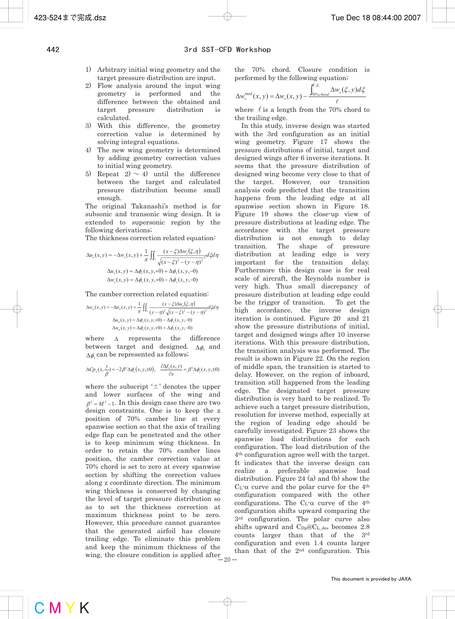- 1) Arbitrary initial wing geometry and the target pressure distribution are input.
- 2) Flow analysis around the input wing geometry is performed and the difference between the obtained and target pressure distribution is calculated.
- 3) With this difference, the geometry correction value is determined by solving integral equations.
- 4) The new wing geometry is determined by adding geometry correction values to initial wing geometry.
- 5) Repeat  $2) \sim 4$ ) until the difference between the target and calculated pressure distribution become small enough.

The original Takanashi's method is for subsonic and transonic wing design. It is extended to supersonic region by the following derivations;

The thickness correction related equation:

$$
\Delta u_s(x, y) = -\Delta w_s(x, y) + \frac{1}{\pi} \iint_{\mathbb{R}_1} \frac{(x - \xi)\Delta w_s(\xi, \eta)}{\sqrt{(x - \xi)^2 - (y - \eta)^2}} d\xi d\eta
$$

$$
\Delta u_s(x, y) = \Delta \phi_x(x, y, +0) + \Delta \phi_x(x, y, -0)
$$

$$
\Delta w_s(x, y) = \Delta \phi_z(x, y, +0) - \Delta \phi_z(x, y, -0)
$$

The camber correction related equation:

$$
\Delta w_a(x, y) = -\Delta u_a(x, y) + \frac{1}{\pi} \iint_{\Sigma_1} \frac{(x - \xi)\Delta u_a(\xi, \eta)}{(y - \eta)^2 \sqrt{(x - \xi)^2 - (y - \eta)^2}} d\xi d\eta
$$

$$
\Delta u_a(x, y) = \Delta \phi_x(x, y, +0) - \Delta \phi_x(x, y, -0)
$$

$$
\Delta w_a(x, y) = \Delta \phi_z(x, y, +0) + \Delta \phi_z(x, y, -0)
$$

where  $\Delta$  represents the difference between target and designed.  $\Lambda \phi$  and  $\Delta \phi$  can be represented as follows;

$$
\Delta C p_{\pm}(x, \frac{y}{\beta}) = -2\beta^2 \Delta \phi_x(x, y, \pm 0), \quad \frac{\partial \Delta f_{\pm}(x, y)}{\partial x} = \beta^3 \Delta \phi_z(x, y, \pm 0)
$$

where the subscript  $\pm$  denotes the upper and lower surfaces of the wing and  $\beta^2 = M^2 - 1$ . In this design case there are two design constraints. One is to keep the z position of 70% camber line at every spanwise section so that the axis of trailing edge flap can be penetrated and the other is to keep minimum wing thickness. In order to retain the 70% camber lines position, the camber correction value at 70% chord is set to zero at every spanwise section by shifting the correction values along z coordinate direction. The minimum wing thickness is conserved by changing the level of target pressure distribution so as to set the thickness correction at maximum thickness point to be zero. However, this procedure cannot guarantee that the generated airfoil has closure trailing edge. To eliminate this problem and keep the minimum thickness of the wing, the closure condition is applied after the 70% chord. Closure condition is performed by the following equation;

$$
\Delta w_s^{\text{mod}}(x, y) = \Delta w_s(x, y) - \frac{\int_{70\% \text{chord}}^{T.E.} \Delta w_s(\xi, y) d\xi}{\ell}
$$

where  $\ell$  is a length from the 70% chord to the trailing edge.

 In this study, inverse design was started with the 3rd configuration as an initial wing geometry. Figure 17 shows the pressure distributions of initial, target and designed wings after 6 inverse iterations. It seems that the pressure distribution of designed wing become very close to that of the target. However, our transition analysis code predicted that the transition happens from the leading edge at all spanwise section shown in Figure 18. Figure 19 shows the close-up view of pressure distributions at leading edge. The accordance with the target pressure distribution is not enough to delay transition. The shape of pressure distribution at leading edge is very important for the transition delay. Furthermore this design case is for real scale of aircraft, the Reynolds number is very high. Thus small discrepancy of pressure distribution at leading edge could be the trigger of transition. To get the high accordance, the inverse design iteration is continued. Figure 20 and 21 show the pressure distributions of initial, target and designed wings after 10 inverse iterations. With this pressure distribution, the transition analysis was performed. The result is shown in Figure 22. On the region of middle span, the transition is started to delay. However, on the region of inboard, transition still happened from the leading edge. The designated target pressure distribution is very hard to be realized. To achieve such a target pressure distribution, resolution for inverse method, especially at the region of leading edge should be carefully investigated. Figure 23 shows the spanwise load distributions for each configuration. The load distribution of the 4th configuration agree well with the target. It indicates that the inverse design can realize a preferable spanwise load distribution. Figure 24 (a) and (b) show the  $C_{L}$ - $\alpha$  curve and the polar curve for the 4<sup>th</sup> configuration compared with the other configurations. The  $C_{L}$ - $\alpha$  curve of the 4<sup>th</sup> configuration shifts upward comparing the 3rd configuration. The polar curve also shifts upward and  $C_{\text{Dp}}@C_{\text{L-des}}$  becomes 2.8 counts larger than that of the 3rd configuration and even 1.4 counts larger than that of the 2nd configuration. This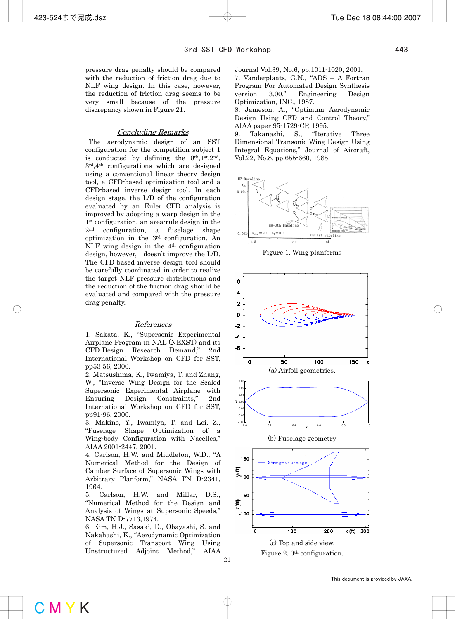pressure drag penalty should be compared with the reduction of friction drag due to NLF wing design. In this case, however, the reduction of friction drag seems to be very small because of the pressure discrepancy shown in Figure 21.

### Concluding Remarks

 The aerodynamic design of an SST configuration for the competition subject 1 is conducted by defining the  $0^{th}$ ,  $1^{st}$ ,  $2^{nd}$ , 3rd,4th configurations which are designed using a conventional linear theory design tool, a CFD-based optimization tool and a CFD-based inverse design tool. In each design stage, the L/D of the configuration evaluated by an Euler CFD analysis is improved by adopting a warp design in the 1st configuration, an area-rule design in the 2nd configuration, a fuselage shape optimization in the 3rd configuration. An NLF wing design in the 4th configuration design, however, doesn't improve the L/D. The CFD-based inverse design tool should be carefully coordinated in order to realize the target NLF pressure distributions and the reduction of the friction drag should be evaluated and compared with the pressure drag penalty.

#### References

1. Sakata, K., "Supersonic Experimental Airplane Program in NAL (NEXST) and its CFD-Design Research Demand," 2nd International Workshop on CFD for SST, pp53-56, 2000.

2. Matsushima, K., Iwamiya, T. and Zhang, W., "Inverse Wing Design for the Scaled Supersonic Experimental Airplane with Ensuring Design Constraints," 2nd International Workshop on CFD for SST, pp91-96, 2000.

3. Makino, Y., Iwamiya, T. and Lei, Z., "Fuselage Shape Optimization of a Wing-body Configuration with Nacelles," AIAA 2001-2447, 2001.

4. Carlson, H.W. and Middleton, W.D., "A Numerical Method for the Design of Camber Surface of Supersonic Wings with Arbitrary Planform," NASA TN D-2341, 1964.

5. Carlson, H.W. and Millar, D.S., "Numerical Method for the Design and Analysis of Wings at Supersonic Speeds," NASA TN D-7713,1974.

6. Kim, H.J., Sasaki, D., Obayashi, S. and Nakahashi, K., "Aerodynamic Optimization of Supersonic Transport Wing Using Unstructured Adjoint Method," AIAA Journal Vol.39, No.6, pp.1011-1020, 2001.

7. Vanderplaats, G.N., "ADS – A Fortran Program For Automated Design Synthesis version 3.00," Engineering Design Optimization, INC., 1987.

8. Jameson, A., "Optimum Aerodynamic Design Using CFD and Control Theory," AIAA paper 95-1729-CP, 1995.

9. Takanashi, S., "Iterative Three Dimensional Transonic Wing Design Using Integral Equations," Journal of Aircraft, Vol.22, No.8, pp.655-660, 1985.



Figure 1. Wing planforms

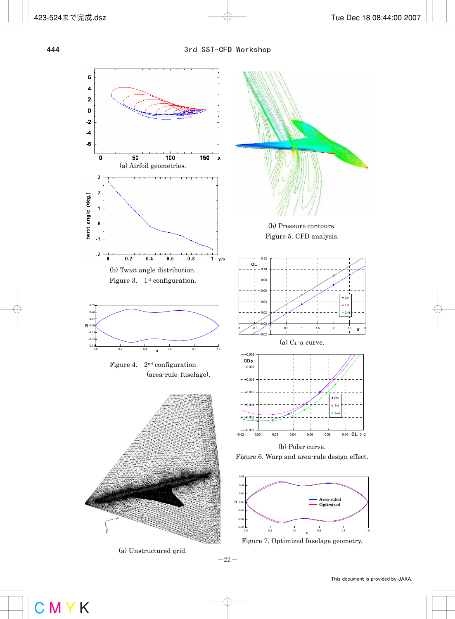

(a) Unstructured grid.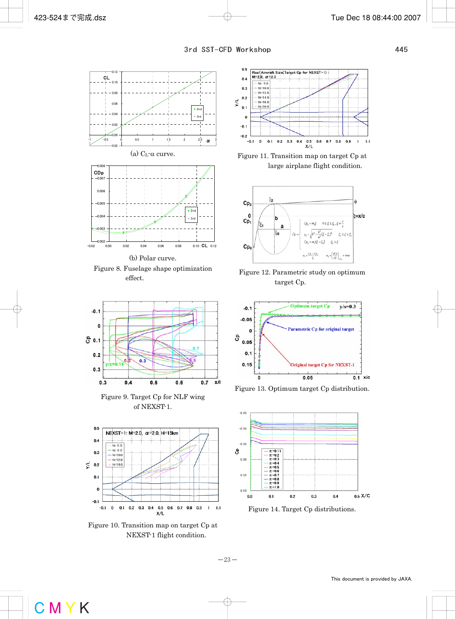

Figure 8. Fuselage shape optimization effect.



Figure 9. Target Cp for NLF wing of NEXST-1.



Figure 10. Transition map on target Cp at NEXST-1 flight condition.



Figure 11. Transition map on target Cp at large airplane flight condition.



Figure 12. Parametric study on optimum target Cp.



Figure 13. Optimum target Cp distribution.



Figure 14. Target Cp distributions.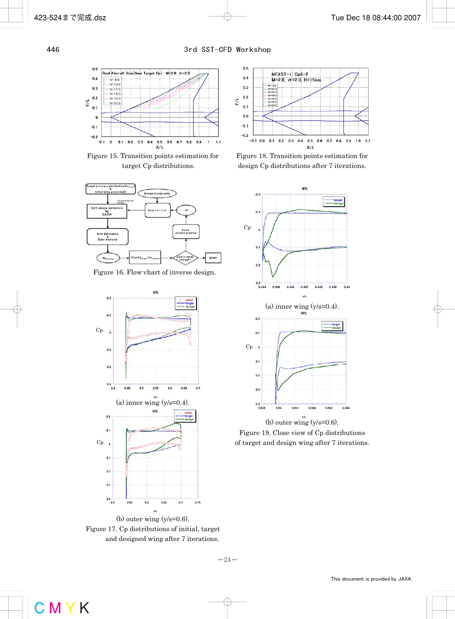

Figure 15. Transition points estimation for target Cp distributions.



Figure 16. Flow-chart of inverse design.







Figure 18. Transition points estimation for design Cp distributions after 7 iterations.



Figure 19. Close view of Cp distributions of target and design wing after 7 iterations.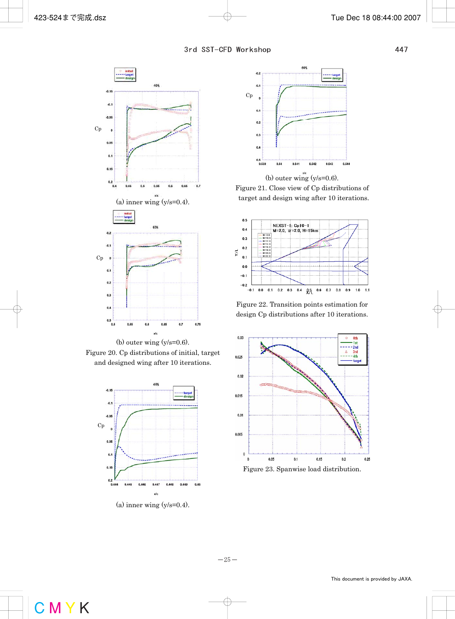

(b) outer wing  $(y/s=0.6)$ . Figure 20. Cp distributions of initial, target and designed wing after 10 iterations.



 $(a)$  inner wing  $(y/s=0.4)$ .



Figure 21. Close view of Cp distributions of target and design wing after 10 iterations.



Figure 22. Transition points estimation for design Cp distributions after 10 iterations.



Figure 23. Spanwise load distribution.